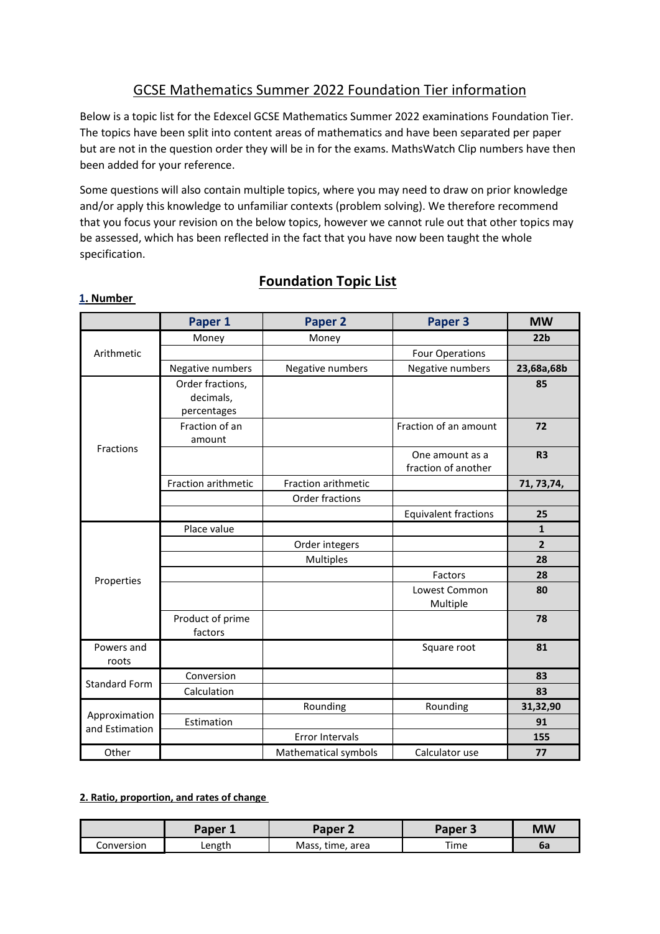# GCSE Mathematics Summer 2022 Foundation Tier information

Below is a topic list for the Edexcel GCSE Mathematics Summer 2022 examinations Foundation Tier. The topics have been split into content areas of mathematics and have been separated per paper but are not in the question order they will be in for the exams. MathsWatch Clip numbers have then been added for your reference.

Some questions will also contain multiple topics, where you may need to draw on prior knowledge and/or apply this knowledge to unfamiliar contexts (problem solving). We therefore recommend that you focus your revision on the below topics, however we cannot rule out that other topics may be assessed, which has been reflected in the fact that you have now been taught the whole specification.

**Foundation Topic List**

|                                 | Paper 1                                      | Paper <sub>2</sub>   | Paper 3                                | <b>MW</b>       |
|---------------------------------|----------------------------------------------|----------------------|----------------------------------------|-----------------|
| Arithmetic                      | Money                                        | Money                |                                        | 22 <sub>b</sub> |
|                                 |                                              |                      | <b>Four Operations</b>                 |                 |
|                                 | Negative numbers                             | Negative numbers     | Negative numbers                       | 23,68a,68b      |
|                                 | Order fractions,<br>decimals,<br>percentages |                      |                                        | 85              |
|                                 | Fraction of an<br>amount                     |                      | Fraction of an amount                  | 72              |
| <b>Fractions</b>                |                                              |                      | One amount as a<br>fraction of another | R <sub>3</sub>  |
|                                 | Fraction arithmetic                          | Fraction arithmetic  |                                        | 71, 73, 74,     |
|                                 |                                              | Order fractions      |                                        |                 |
|                                 |                                              |                      | <b>Equivalent fractions</b>            | 25              |
|                                 | Place value                                  |                      |                                        | $\mathbf{1}$    |
|                                 |                                              | Order integers       |                                        | $\overline{2}$  |
|                                 |                                              | Multiples            |                                        | 28              |
| Properties                      |                                              |                      | Factors                                | 28              |
|                                 |                                              |                      | Lowest Common<br>Multiple              | 80              |
|                                 | Product of prime<br>factors                  |                      |                                        | 78              |
| Powers and<br>roots             |                                              |                      | Square root                            | 81              |
| <b>Standard Form</b>            | Conversion                                   |                      |                                        | 83              |
|                                 | Calculation                                  |                      |                                        | 83              |
|                                 |                                              | Rounding             | Rounding                               | 31,32,90        |
| Approximation<br>and Estimation | Estimation                                   |                      |                                        | 91              |
|                                 |                                              | Error Intervals      |                                        | 155             |
| Other                           |                                              | Mathematical symbols | Calculator use                         | 77              |

#### **1. Number**

#### **2. Ratio, proportion, and rates of change**

|            | Paper 1 | Paper 2          | Paper 3 | МW |
|------------|---------|------------------|---------|----|
| Conversion | Length  | Mass, time, area | Time    | od |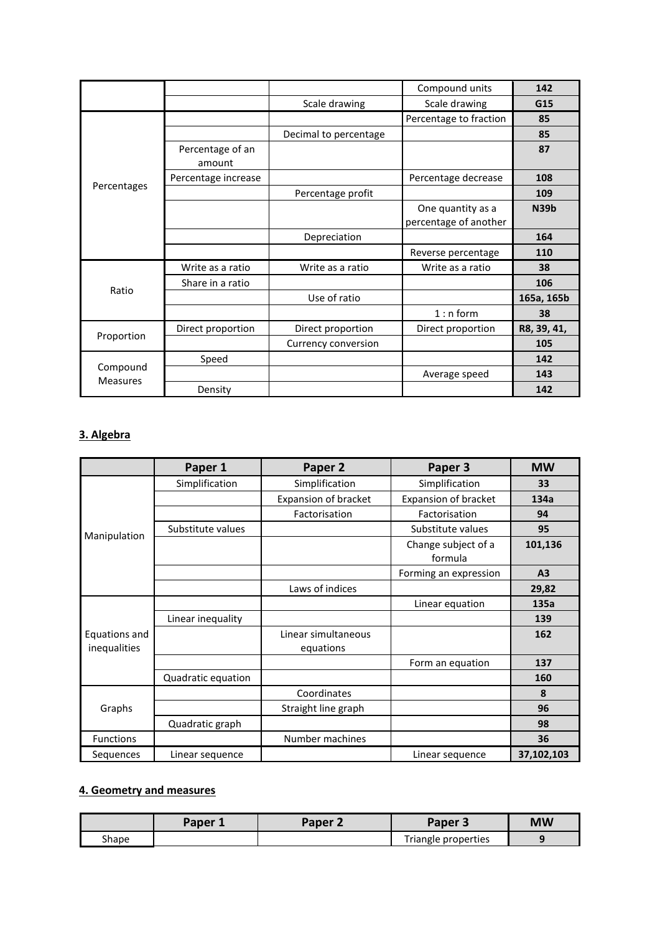|                             |                            |                       | Compound units                             | 142         |
|-----------------------------|----------------------------|-----------------------|--------------------------------------------|-------------|
|                             |                            | Scale drawing         | Scale drawing                              | G15         |
|                             |                            |                       | Percentage to fraction                     | 85          |
|                             |                            | Decimal to percentage |                                            | 85          |
|                             | Percentage of an<br>amount |                       |                                            | 87          |
|                             | Percentage increase        |                       | Percentage decrease                        | 108         |
| Percentages                 |                            | Percentage profit     |                                            | 109         |
|                             |                            |                       | One quantity as a<br>percentage of another | <b>N39b</b> |
|                             |                            | Depreciation          |                                            | 164         |
|                             |                            |                       | Reverse percentage                         | 110         |
| Ratio                       | Write as a ratio           | Write as a ratio      | Write as a ratio                           | 38          |
|                             | Share in a ratio           |                       |                                            | 106         |
|                             |                            | Use of ratio          |                                            | 165a, 165b  |
|                             |                            |                       | $1: n$ form                                | 38          |
| Proportion                  | Direct proportion          | Direct proportion     | Direct proportion                          | R8, 39, 41, |
|                             |                            | Currency conversion   |                                            | 105         |
|                             | Speed                      |                       |                                            | 142         |
| Compound<br><b>Measures</b> |                            |                       | Average speed                              | 143         |
|                             | Density                    |                       |                                            | 142         |

## **3. Algebra**

|                               | Paper 1            | Paper 2                          | Paper 3                        | <b>MW</b>      |
|-------------------------------|--------------------|----------------------------------|--------------------------------|----------------|
|                               | Simplification     | Simplification                   | Simplification                 | 33             |
|                               |                    | <b>Expansion of bracket</b>      | Expansion of bracket           | 134a           |
|                               |                    | Factorisation                    | Factorisation                  | 94             |
| Manipulation                  | Substitute values  |                                  | Substitute values              | 95             |
|                               |                    |                                  | Change subject of a<br>formula | 101,136        |
|                               |                    |                                  | Forming an expression          | A <sub>3</sub> |
|                               |                    | Laws of indices                  |                                | 29,82          |
|                               |                    |                                  | Linear equation                | 135a           |
|                               | Linear inequality  |                                  |                                | 139            |
| Equations and<br>inequalities |                    | Linear simultaneous<br>equations |                                | 162            |
|                               |                    |                                  | Form an equation               | 137            |
|                               | Quadratic equation |                                  |                                | 160            |
| Graphs                        |                    | Coordinates                      |                                | 8              |
|                               |                    | Straight line graph              |                                | 96             |
|                               | Quadratic graph    |                                  |                                | 98             |
| Functions                     |                    | Number machines                  |                                | 36             |
| Sequences                     | Linear sequence    |                                  | Linear sequence                | 37,102,103     |

## **4. Geometry and measures**

|       | Paper | Paper 2 | Paper 3             | <b>MW</b> |
|-------|-------|---------|---------------------|-----------|
| Shape |       |         | Triangle properties |           |